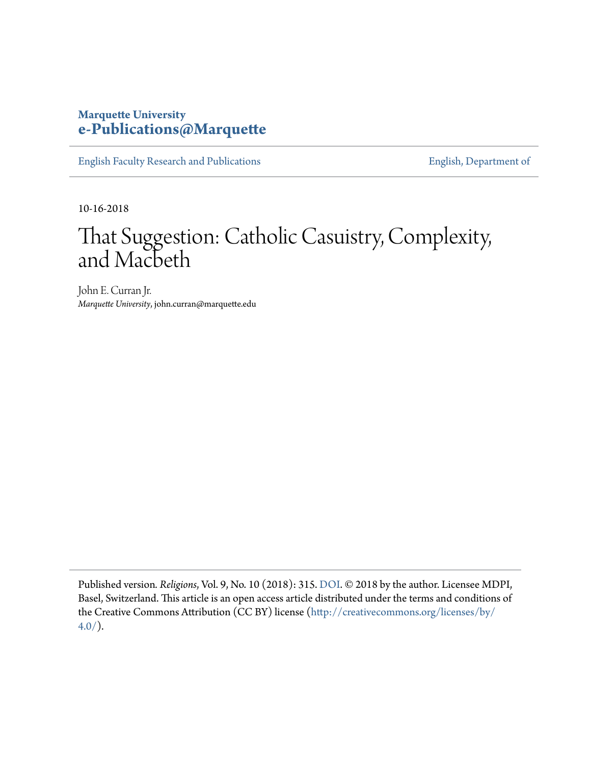### **Marquette University [e-Publications@Marquette](https://epublications.marquette.edu)**

[English Faculty Research and Publications](https://epublications.marquette.edu/english_fac) **[English, Department of](https://epublications.marquette.edu/english)** 

10-16-2018

# That Suggestion: Catholic Casuistry, Complexity, and Macbeth

John E. Curran Jr. *Marquette University*, john.curran@marquette.edu

Published version*. Religions*, Vol. 9, No. 10 (2018): 315. [DOI.](https://doi.org/10.3390/rel9100315) © 2018 by the author. Licensee MDPI, Basel, Switzerland. This article is an open access article distributed under the terms and conditions of the Creative Commons Attribution (CC BY) license [\(http://creativecommons.org/licenses/by/](http://creativecommons.org/licenses/by/4.0/)  $4.0/$ ).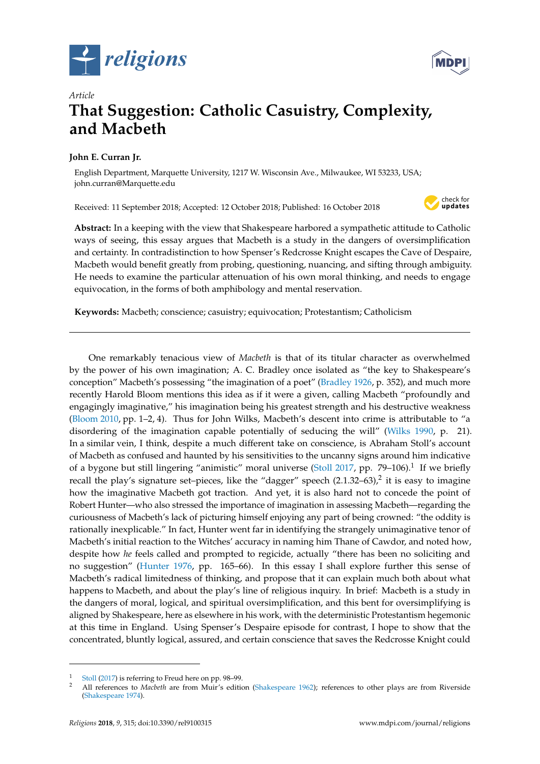



## *Article* **That Suggestion: Catholic Casuistry, Complexity, and Macbeth**

### **John E. Curran Jr.**

English Department, Marquette University, 1217 W. Wisconsin Ave., Milwaukee, WI 53233, USA; john.curran@Marquette.edu

Received: 11 September 2018; Accepted: 12 October 2018; Published: 16 October 2018



**Abstract:** In a keeping with the view that Shakespeare harbored a sympathetic attitude to Catholic ways of seeing, this essay argues that Macbeth is a study in the dangers of oversimplification and certainty. In contradistinction to how Spenser's Redcrosse Knight escapes the Cave of Despaire, Macbeth would benefit greatly from probing, questioning, nuancing, and sifting through ambiguity. He needs to examine the particular attenuation of his own moral thinking, and needs to engage equivocation, in the forms of both amphibology and mental reservation.

**Keywords:** Macbeth; conscience; casuistry; equivocation; Protestantism; Catholicism

One remarkably tenacious view of *Macbeth* is that of its titular character as overwhelmed by the power of his own imagination; A. C. Bradley once isolated as "the key to Shakespeare's conception" Macbeth's possessing "the imagination of a poet" [\(Bradley](#page-15-0) [1926,](#page-15-0) p. 352), and much more recently Harold Bloom mentions this idea as if it were a given, calling Macbeth "profoundly and engagingly imaginative," his imagination being his greatest strength and his destructive weakness [\(Bloom](#page-15-1) [2010,](#page-15-1) pp. 1–2, 4). Thus for John Wilks, Macbeth's descent into crime is attributable to "a disordering of the imagination capable potentially of seducing the will" [\(Wilks](#page-17-0) [1990,](#page-17-0) p. 21). In a similar vein, I think, despite a much different take on conscience, is Abraham Stoll's account of Macbeth as confused and haunted by his sensitivities to the uncanny signs around him indicative of a bygone but still lingering "animistic" moral universe [\(Stoll](#page-17-1) [2017,](#page-17-1) pp. 79–106).<sup>1</sup> If we briefly recall the play's signature set–pieces, like the "dagger" speech  $(2.1.32-63)<sup>2</sup>$  it is easy to imagine how the imaginative Macbeth got traction. And yet, it is also hard not to concede the point of Robert Hunter—who also stressed the importance of imagination in assessing Macbeth—regarding the curiousness of Macbeth's lack of picturing himself enjoying any part of being crowned: "the oddity is rationally inexplicable." In fact, Hunter went far in identifying the strangely unimaginative tenor of Macbeth's initial reaction to the Witches' accuracy in naming him Thane of Cawdor, and noted how, despite how *he* feels called and prompted to regicide, actually "there has been no soliciting and no suggestion" [\(Hunter](#page-16-0) [1976,](#page-16-0) pp. 165–66). In this essay I shall explore further this sense of Macbeth's radical limitedness of thinking, and propose that it can explain much both about what happens to Macbeth, and about the play's line of religious inquiry. In brief: Macbeth is a study in the dangers of moral, logical, and spiritual oversimplification, and this bent for oversimplifying is aligned by Shakespeare, here as elsewhere in his work, with the deterministic Protestantism hegemonic at this time in England. Using Spenser's Despaire episode for contrast, I hope to show that the concentrated, bluntly logical, assured, and certain conscience that saves the Redcrosse Knight could

<sup>1</sup> [Stoll](#page-17-1) [\(2017\)](#page-17-1) is referring to Freud here on pp. 98–99.

<sup>2</sup> All references to *Macbeth* are from Muir's edition [\(Shakespeare](#page-17-2) [1962\)](#page-17-2); references to other plays are from Riverside [\(Shakespeare](#page-17-3) [1974\)](#page-17-3).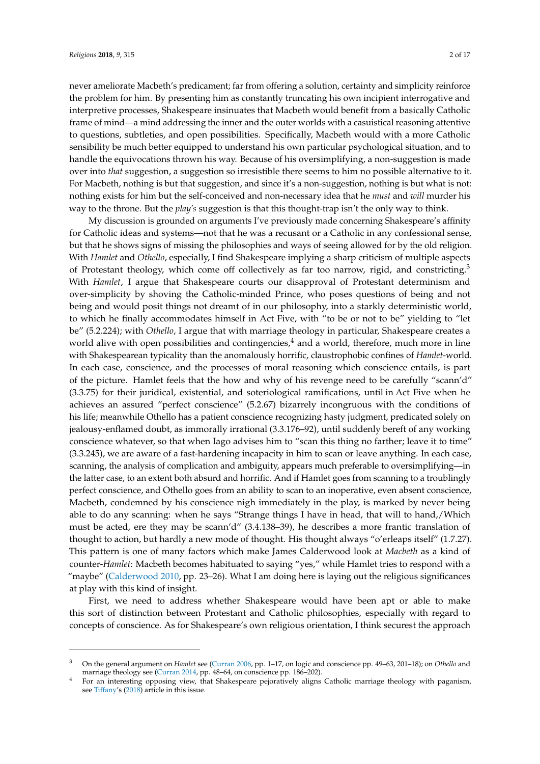never ameliorate Macbeth's predicament; far from offering a solution, certainty and simplicity reinforce the problem for him. By presenting him as constantly truncating his own incipient interrogative and interpretive processes, Shakespeare insinuates that Macbeth would benefit from a basically Catholic frame of mind—a mind addressing the inner and the outer worlds with a casuistical reasoning attentive to questions, subtleties, and open possibilities. Specifically, Macbeth would with a more Catholic sensibility be much better equipped to understand his own particular psychological situation, and to handle the equivocations thrown his way. Because of his oversimplifying, a non-suggestion is made over into *that* suggestion, a suggestion so irresistible there seems to him no possible alternative to it. For Macbeth, nothing is but that suggestion, and since it's a non-suggestion, nothing is but what is not: nothing exists for him but the self-conceived and non-necessary idea that he *must* and *will* murder his way to the throne. But the *play's* suggestion is that this thought-trap isn't the only way to think.

My discussion is grounded on arguments I've previously made concerning Shakespeare's affinity for Catholic ideas and systems—not that he was a recusant or a Catholic in any confessional sense, but that he shows signs of missing the philosophies and ways of seeing allowed for by the old religion. With *Hamlet* and *Othello*, especially, I find Shakespeare implying a sharp criticism of multiple aspects of Protestant theology, which come off collectively as far too narrow, rigid, and constricting.<sup>3</sup> With *Hamlet*, I argue that Shakespeare courts our disapproval of Protestant determinism and over-simplicity by shoving the Catholic-minded Prince, who poses questions of being and not being and would posit things not dreamt of in our philosophy, into a starkly deterministic world, to which he finally accommodates himself in Act Five, with "to be or not to be" yielding to "let be" (5.2.224); with *Othello*, I argue that with marriage theology in particular, Shakespeare creates a world alive with open possibilities and contingencies, $<sup>4</sup>$  and a world, therefore, much more in line</sup> with Shakespearean typicality than the anomalously horrific, claustrophobic confines of *Hamlet*-world. In each case, conscience, and the processes of moral reasoning which conscience entails, is part of the picture. Hamlet feels that the how and why of his revenge need to be carefully "scann'd" (3.3.75) for their juridical, existential, and soteriological ramifications, until in Act Five when he achieves an assured "perfect conscience" (5.2.67) bizarrely incongruous with the conditions of his life; meanwhile Othello has a patient conscience recognizing hasty judgment, predicated solely on jealousy-enflamed doubt, as immorally irrational (3.3.176–92), until suddenly bereft of any working conscience whatever, so that when Iago advises him to "scan this thing no farther; leave it to time" (3.3.245), we are aware of a fast-hardening incapacity in him to scan or leave anything. In each case, scanning, the analysis of complication and ambiguity, appears much preferable to oversimplifying—in the latter case, to an extent both absurd and horrific. And if Hamlet goes from scanning to a troublingly perfect conscience, and Othello goes from an ability to scan to an inoperative, even absent conscience, Macbeth, condemned by his conscience nigh immediately in the play, is marked by never being able to do any scanning: when he says "Strange things I have in head, that will to hand,/Which must be acted, ere they may be scann'd" (3.4.138–39), he describes a more frantic translation of thought to action, but hardly a new mode of thought. His thought always "o'erleaps itself" (1.7.27). This pattern is one of many factors which make James Calderwood look at *Macbeth* as a kind of counter-*Hamlet*: Macbeth becomes habituated to saying "yes," while Hamlet tries to respond with a "maybe" [\(Calderwood](#page-15-2) [2010,](#page-15-2) pp. 23–26). What I am doing here is laying out the religious significances at play with this kind of insight.

First, we need to address whether Shakespeare would have been apt or able to make this sort of distinction between Protestant and Catholic philosophies, especially with regard to concepts of conscience. As for Shakespeare's own religious orientation, I think securest the approach

<sup>3</sup> On the general argument on *Hamlet* see [\(Curran](#page-16-1) [2006,](#page-16-1) pp. 1–17, on logic and conscience pp. 49–63, 201–18); on *Othello* and marriage theology see [\(Curran](#page-16-2) [2014,](#page-16-2) pp. 48–64, on conscience pp. 186–202).

<sup>4</sup> For an interesting opposing view, that Shakespeare pejoratively aligns Catholic marriage theology with paganism, see [Tiffany'](#page-17-4)s [\(2018\)](#page-17-4) article in this issue.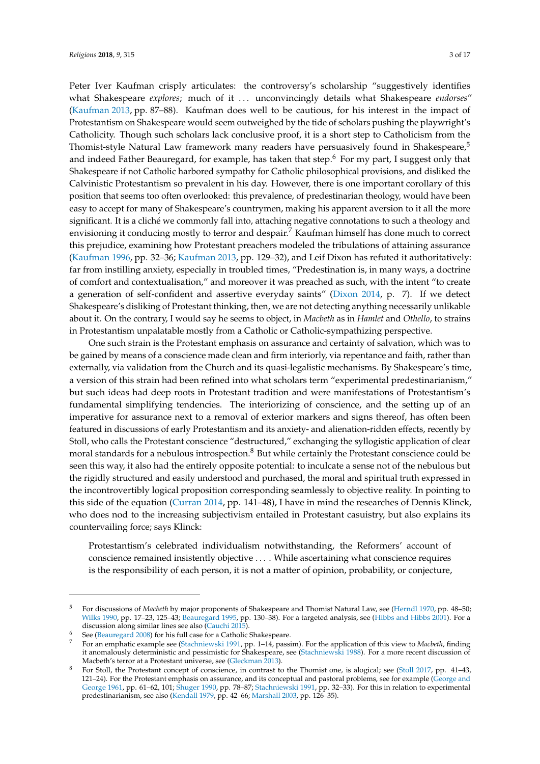Peter Iver Kaufman crisply articulates: the controversy's scholarship "suggestively identifies what Shakespeare *explores*; much of it . . . unconvincingly details what Shakespeare *endorses*" [\(Kaufman](#page-16-3) [2013,](#page-16-3) pp. 87–88). Kaufman does well to be cautious, for his interest in the impact of Protestantism on Shakespeare would seem outweighed by the tide of scholars pushing the playwright's Catholicity. Though such scholars lack conclusive proof, it is a short step to Catholicism from the Thomist-style Natural Law framework many readers have persuasively found in Shakespeare,<sup>5</sup> and indeed Father Beauregard, for example, has taken that step.<sup>6</sup> For my part, I suggest only that Shakespeare if not Catholic harbored sympathy for Catholic philosophical provisions, and disliked the Calvinistic Protestantism so prevalent in his day. However, there is one important corollary of this position that seems too often overlooked: this prevalence, of predestinarian theology, would have been easy to accept for many of Shakespeare's countrymen, making his apparent aversion to it all the more significant. It is a cliché we commonly fall into, attaching negative connotations to such a theology and envisioning it conducing mostly to terror and despair.<sup>7</sup> Kaufman himself has done much to correct this prejudice, examining how Protestant preachers modeled the tribulations of attaining assurance [\(Kaufman](#page-16-4) [1996,](#page-16-4) pp. 32–36; [Kaufman](#page-16-3) [2013,](#page-16-3) pp. 129–32), and Leif Dixon has refuted it authoritatively: far from instilling anxiety, especially in troubled times, "Predestination is, in many ways, a doctrine of comfort and contextualisation," and moreover it was preached as such, with the intent "to create a generation of self-confident and assertive everyday saints" [\(Dixon](#page-16-5) [2014,](#page-16-5) p. 7). If we detect Shakespeare's disliking of Protestant thinking, then, we are not detecting anything necessarily unlikable about it. On the contrary, I would say he seems to object, in *Macbeth* as in *Hamlet* and *Othello*, to strains in Protestantism unpalatable mostly from a Catholic or Catholic-sympathizing perspective.

One such strain is the Protestant emphasis on assurance and certainty of salvation, which was to be gained by means of a conscience made clean and firm interiorly, via repentance and faith, rather than externally, via validation from the Church and its quasi-legalistic mechanisms. By Shakespeare's time, a version of this strain had been refined into what scholars term "experimental predestinarianism," but such ideas had deep roots in Protestant tradition and were manifestations of Protestantism's fundamental simplifying tendencies. The interiorizing of conscience, and the setting up of an imperative for assurance next to a removal of exterior markers and signs thereof, has often been featured in discussions of early Protestantism and its anxiety- and alienation-ridden effects, recently by Stoll, who calls the Protestant conscience "destructured," exchanging the syllogistic application of clear moral standards for a nebulous introspection.<sup>8</sup> But while certainly the Protestant conscience could be seen this way, it also had the entirely opposite potential: to inculcate a sense not of the nebulous but the rigidly structured and easily understood and purchased, the moral and spiritual truth expressed in the incontrovertibly logical proposition corresponding seamlessly to objective reality. In pointing to this side of the equation [\(Curran](#page-16-2) [2014,](#page-16-2) pp. 141–48), I have in mind the researches of Dennis Klinck, who does nod to the increasing subjectivism entailed in Protestant casuistry, but also explains its countervailing force; says Klinck:

Protestantism's celebrated individualism notwithstanding, the Reformers' account of conscience remained insistently objective . . . . While ascertaining what conscience requires is the responsibility of each person, it is not a matter of opinion, probability, or conjecture,

<sup>5</sup> For discussions of *Macbeth* by major proponents of Shakespeare and Thomist Natural Law, see [\(Herndl](#page-16-6) [1970,](#page-16-6) pp. 48–50; [Wilks](#page-17-0) [1990,](#page-17-0) pp. 17–23, 125–43; [Beauregard](#page-15-3) [1995,](#page-15-3) pp. 130–38). For a targeted analysis, see [\(Hibbs and Hibbs](#page-16-7) [2001\)](#page-16-7). For a discussion along similar lines see also [\(Cauchi](#page-16-8) [2015\)](#page-16-8).

See [\(Beauregard](#page-15-4) [2008\)](#page-15-4) for his full case for a Catholic Shakespeare.

<sup>7</sup> For an emphatic example see [\(Stachniewski](#page-17-5) [1991,](#page-17-5) pp. 1–14, passim). For the application of this view to *Macbeth*, finding it anomalously deterministic and pessimistic for Shakespeare, see [\(Stachniewski](#page-17-6) [1988\)](#page-17-6). For a more recent discussion of Macbeth's terror at a Protestant universe, see [\(Gleckman](#page-16-9) [2013\)](#page-16-9).

<sup>8</sup> For Stoll, the Protestant concept of conscience, in contrast to the Thomist one, is alogical; see [\(Stoll](#page-17-1) [2017,](#page-17-1) pp. 41–43, 121–24). For the Protestant emphasis on assurance, and its conceptual and pastoral problems, see for example [\(George and](#page-16-10) [George](#page-16-10) [1961,](#page-16-10) pp. 61–62, 101; [Shuger](#page-17-7) [1990,](#page-17-7) pp. 78–87; [Stachniewski](#page-17-5) [1991,](#page-17-5) pp. 32–33). For this in relation to experimental predestinarianism, see also [\(Kendall](#page-16-11) [1979,](#page-16-11) pp. 42–66; [Marshall](#page-16-12) [2003,](#page-16-12) pp. 126–35).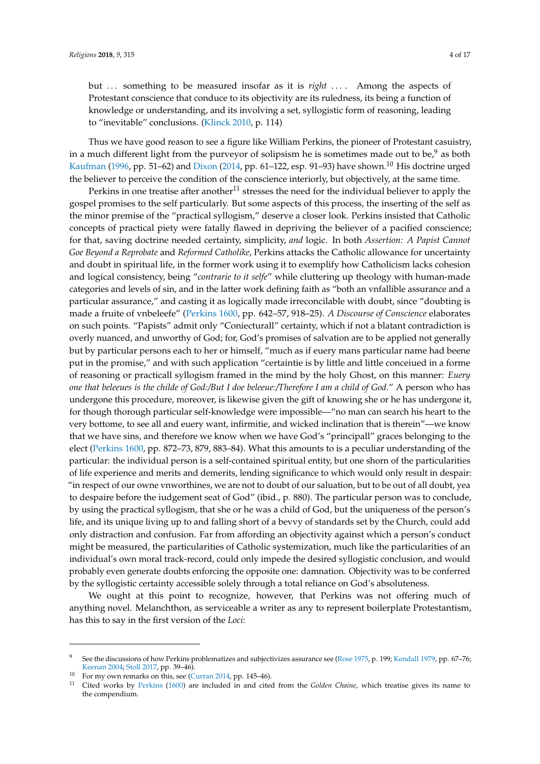but ... something to be measured insofar as it is *right* .... Among the aspects of Protestant conscience that conduce to its objectivity are its ruledness, its being a function of knowledge or understanding, and its involving a set, syllogistic form of reasoning, leading to "inevitable" conclusions. [\(Klinck](#page-16-13) [2010,](#page-16-13) p. 114)

Thus we have good reason to see a figure like William Perkins, the pioneer of Protestant casuistry, in a much different light from the purveyor of solipsism he is sometimes made out to be,  $9^9$  as both [Kaufman](#page-16-4) [\(1996,](#page-16-4) pp. 51–62) and [Dixon](#page-16-5) [\(2014,](#page-16-5) pp. 61–122, esp. 91–93) have shown.<sup>10</sup> His doctrine urged the believer to perceive the condition of the conscience interiorly, but objectively, at the same time.

Perkins in one treatise after another<sup>11</sup> stresses the need for the individual believer to apply the gospel promises to the self particularly. But some aspects of this process, the inserting of the self as the minor premise of the "practical syllogism," deserve a closer look. Perkins insisted that Catholic concepts of practical piety were fatally flawed in depriving the believer of a pacified conscience; for that, saving doctrine needed certainty, simplicity, *and* logic. In both *Assertion: A Papist Cannot Goe Beyond a Reprobate* and *Reformed Catholike*, Perkins attacks the Catholic allowance for uncertainty and doubt in spiritual life, in the former work using it to exemplify how Catholicism lacks cohesion and logical consistency, being "*contrarie to it selfe*" while cluttering up theology with human-made categories and levels of sin, and in the latter work defining faith as "both an vnfallible assurance and a particular assurance," and casting it as logically made irreconcilable with doubt, since "doubting is made a fruite of vnbeleefe" [\(Perkins](#page-17-8) [1600,](#page-17-8) pp. 642–57, 918–25). *A Discourse of Conscience* elaborates on such points. "Papists" admit only "Coniecturall" certainty, which if not a blatant contradiction is overly nuanced, and unworthy of God; for, God's promises of salvation are to be applied not generally but by particular persons each to her or himself, "much as if euery mans particular name had beene put in the promise," and with such application "certaintie is by little and little conceiued in a forme of reasoning or practicall syllogism framed in the mind by the holy Ghost, on this manner: *Euery one that beleeues is the childe of God:/But I doe beleeue:/Therefore I am a child of God*." A person who has undergone this procedure, moreover, is likewise given the gift of knowing she or he has undergone it, for though thorough particular self-knowledge were impossible—"no man can search his heart to the very bottome, to see all and euery want, infirmitie, and wicked inclination that is therein"—we know that we have sins, and therefore we know when we have God's "principall" graces belonging to the elect [\(Perkins](#page-17-8) [1600,](#page-17-8) pp. 872–73, 879, 883–84). What this amounts to is a peculiar understanding of the particular: the individual person is a self-contained spiritual entity, but one shorn of the particularities of life experience and merits and demerits, lending significance to which would only result in despair: "in respect of our owne vnworthines, we are not to doubt of our saluation, but to be out of all doubt, yea to despaire before the iudgement seat of God" (ibid., p. 880). The particular person was to conclude, by using the practical syllogism, that she or he was a child of God, but the uniqueness of the person's life, and its unique living up to and falling short of a bevvy of standards set by the Church, could add only distraction and confusion. Far from affording an objectivity against which a person's conduct might be measured, the particularities of Catholic systemization, much like the particularities of an individual's own moral track-record, could only impede the desired syllogistic conclusion, and would probably even generate doubts enforcing the opposite one: damnation. Objectivity was to be conferred by the syllogistic certainty accessible solely through a total reliance on God's absoluteness.

We ought at this point to recognize, however, that Perkins was not offering much of anything novel. Melanchthon, as serviceable a writer as any to represent boilerplate Protestantism, has this to say in the first version of the *Loci*:

<sup>9</sup> See the discussions of how Perkins problematizes and subjectivizes assurance see [\(Rose](#page-17-9) [1975,](#page-17-9) p. 199; [Kendall](#page-16-11) [1979,](#page-16-11) pp. 67–76; [Keenan](#page-16-14) [2004;](#page-16-14) [Stoll](#page-17-1) [2017,](#page-17-1) pp. 39–46).

<sup>10</sup> For my own remarks on this, see [\(Curran](#page-16-2) [2014,](#page-16-2) pp. 145–46).

<sup>11</sup> Cited works by [Perkins](#page-17-8) [\(1600\)](#page-17-8) are included in and cited from the *Golden Chaine*, which treatise gives its name to the compendium.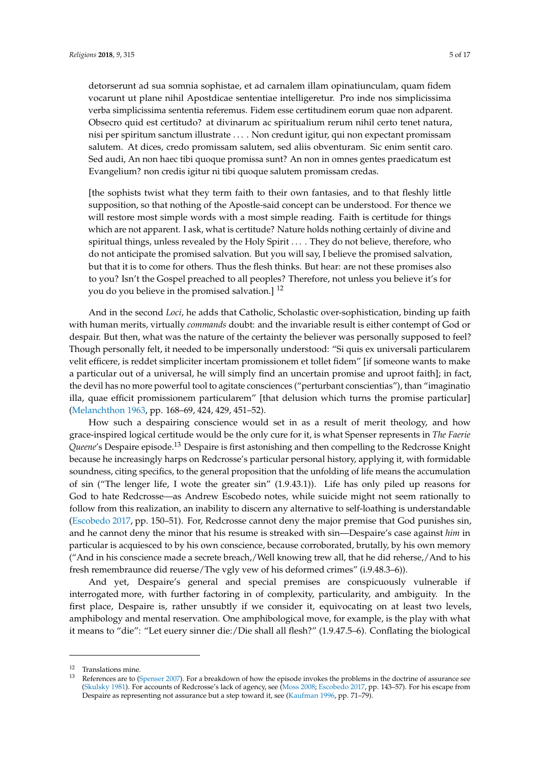detorserunt ad sua somnia sophistae, et ad carnalem illam opinatiunculam, quam fidem vocarunt ut plane nihil Apostdicae sententiae intelligeretur. Pro inde nos simplicissima verba simplicissima sententia referemus. Fidem esse certitudinem eorum quae non adparent. Obsecro quid est certitudo? at divinarum ac spiritualium rerum nihil certo tenet natura, nisi per spiritum sanctum illustrate . . . . Non credunt igitur, qui non expectant promissam salutem. At dices, credo promissam salutem, sed aliis obventuram. Sic enim sentit caro. Sed audi, An non haec tibi quoque promissa sunt? An non in omnes gentes praedicatum est Evangelium? non credis igitur ni tibi quoque salutem promissam credas.

[the sophists twist what they term faith to their own fantasies, and to that fleshly little supposition, so that nothing of the Apostle-said concept can be understood. For thence we will restore most simple words with a most simple reading. Faith is certitude for things which are not apparent. I ask, what is certitude? Nature holds nothing certainly of divine and spiritual things, unless revealed by the Holy Spirit . . . . They do not believe, therefore, who do not anticipate the promised salvation. But you will say, I believe the promised salvation, but that it is to come for others. Thus the flesh thinks. But hear: are not these promises also to you? Isn't the Gospel preached to all peoples? Therefore, not unless you believe it's for you do you believe in the promised salvation.] <sup>12</sup>

And in the second *Loci*, he adds that Catholic, Scholastic over-sophistication, binding up faith with human merits, virtually *commands* doubt: and the invariable result is either contempt of God or despair. But then, what was the nature of the certainty the believer was personally supposed to feel? Though personally felt, it needed to be impersonally understood: "Si quis ex universali particularem velit efficere, is reddet simpliciter incertam promissionem et tollet fidem" [if someone wants to make a particular out of a universal, he will simply find an uncertain promise and uproot faith]; in fact, the devil has no more powerful tool to agitate consciences ("perturbant conscientias"), than "imaginatio illa, quae efficit promissionem particularem" [that delusion which turns the promise particular] [\(Melanchthon](#page-16-15) [1963,](#page-16-15) pp. 168–69, 424, 429, 451–52).

How such a despairing conscience would set in as a result of merit theology, and how grace-inspired logical certitude would be the only cure for it, is what Spenser represents in *The Faerie Queene*'s Despaire episode.<sup>13</sup> Despaire is first astonishing and then compelling to the Redcrosse Knight because he increasingly harps on Redcrosse's particular personal history, applying it, with formidable soundness, citing specifics, to the general proposition that the unfolding of life means the accumulation of sin ("The lenger life, I wote the greater sin" (1.9.43.1)). Life has only piled up reasons for God to hate Redcrosse—as Andrew Escobedo notes, while suicide might not seem rationally to follow from this realization, an inability to discern any alternative to self-loathing is understandable [\(Escobedo](#page-16-16) [2017,](#page-16-16) pp. 150–51). For, Redcrosse cannot deny the major premise that God punishes sin, and he cannot deny the minor that his resume is streaked with sin—Despaire's case against *him* in particular is acquiesced to by his own conscience, because corroborated, brutally, by his own memory ("And in his conscience made a secrete breach,/Well knowing trew all, that he did reherse,/And to his fresh remembraunce did reuerse/The vgly vew of his deformed crimes" (i.9.48.3–6)).

And yet, Despaire's general and special premises are conspicuously vulnerable if interrogated more, with further factoring in of complexity, particularity, and ambiguity. In the first place, Despaire is, rather unsubtly if we consider it, equivocating on at least two levels, amphibology and mental reservation. One amphibological move, for example, is the play with what it means to "die": "Let euery sinner die:/Die shall all flesh?" (1.9.47.5–6). Conflating the biological

<sup>12</sup> Translations mine.

References are to [\(Spenser](#page-17-10) [2007\)](#page-17-10). For a breakdown of how the episode invokes the problems in the doctrine of assurance see [\(Skulsky](#page-17-11) [1981\)](#page-17-11). For accounts of Redcrosse's lack of agency, see [\(Moss](#page-16-17) [2008;](#page-16-17) [Escobedo](#page-16-16) [2017,](#page-16-16) pp. 143–57). For his escape from Despaire as representing not assurance but a step toward it, see [\(Kaufman](#page-16-4) [1996,](#page-16-4) pp. 71–79).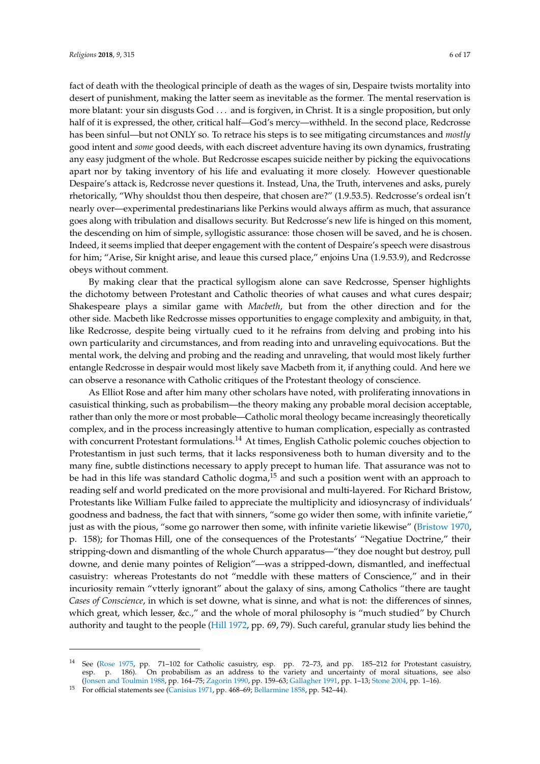fact of death with the theological principle of death as the wages of sin, Despaire twists mortality into desert of punishment, making the latter seem as inevitable as the former. The mental reservation is more blatant: your sin disgusts God . . . and is forgiven, in Christ. It is a single proposition, but only half of it is expressed, the other, critical half—God's mercy—withheld. In the second place, Redcrosse has been sinful—but not ONLY so. To retrace his steps is to see mitigating circumstances and *mostly* good intent and *some* good deeds, with each discreet adventure having its own dynamics, frustrating any easy judgment of the whole. But Redcrosse escapes suicide neither by picking the equivocations apart nor by taking inventory of his life and evaluating it more closely. However questionable Despaire's attack is, Redcrosse never questions it. Instead, Una, the Truth, intervenes and asks, purely rhetorically, "Why shouldst thou then despeire, that chosen are?" (1.9.53.5). Redcrosse's ordeal isn't nearly over—experimental predestinarians like Perkins would always affirm as much, that assurance goes along with tribulation and disallows security. But Redcrosse's new life is hinged on this moment, the descending on him of simple, syllogistic assurance: those chosen will be saved, and he is chosen. Indeed, it seems implied that deeper engagement with the content of Despaire's speech were disastrous for him; "Arise, Sir knight arise, and leaue this cursed place," enjoins Una (1.9.53.9), and Redcrosse obeys without comment.

By making clear that the practical syllogism alone can save Redcrosse, Spenser highlights the dichotomy between Protestant and Catholic theories of what causes and what cures despair; Shakespeare plays a similar game with *Macbeth*, but from the other direction and for the other side. Macbeth like Redcrosse misses opportunities to engage complexity and ambiguity, in that, like Redcrosse, despite being virtually cued to it he refrains from delving and probing into his own particularity and circumstances, and from reading into and unraveling equivocations. But the mental work, the delving and probing and the reading and unraveling, that would most likely further entangle Redcrosse in despair would most likely save Macbeth from it, if anything could. And here we can observe a resonance with Catholic critiques of the Protestant theology of conscience.

As Elliot Rose and after him many other scholars have noted, with proliferating innovations in casuistical thinking, such as probabilism—the theory making any probable moral decision acceptable, rather than only the more or most probable—Catholic moral theology became increasingly theoretically complex, and in the process increasingly attentive to human complication, especially as contrasted with concurrent Protestant formulations.<sup>14</sup> At times, English Catholic polemic couches objection to Protestantism in just such terms, that it lacks responsiveness both to human diversity and to the many fine, subtle distinctions necessary to apply precept to human life. That assurance was not to be had in this life was standard Catholic dogma, $15$  and such a position went with an approach to reading self and world predicated on the more provisional and multi-layered. For Richard Bristow, Protestants like William Fulke failed to appreciate the multiplicity and idiosyncrasy of individuals' goodness and badness, the fact that with sinners, "some go wider then some, with infinite varietie," just as with the pious, "some go narrower then some, with infinite varietie likewise" [\(Bristow](#page-15-5) [1970,](#page-15-5) p. 158); for Thomas Hill, one of the consequences of the Protestants' "Negatiue Doctrine," their stripping-down and dismantling of the whole Church apparatus—"they doe nought but destroy, pull downe, and denie many pointes of Religion"—was a stripped-down, dismantled, and ineffectual casuistry: whereas Protestants do not "meddle with these matters of Conscience," and in their incuriosity remain "vtterly ignorant" about the galaxy of sins, among Catholics "there are taught *Cases of Conscience*, in which is set downe, what is sinne, and what is not: the differences of sinnes, which great, which lesser, &c.," and the whole of moral philosophy is "much studied" by Church authority and taught to the people [\(Hill](#page-16-18) [1972,](#page-16-18) pp. 69, 79). Such careful, granular study lies behind the

<sup>14</sup> See [\(Rose](#page-17-9) [1975,](#page-17-9) pp. 71–102 for Catholic casuistry, esp. pp. 72–73, and pp. 185–212 for Protestant casuistry, esp. p. 186). On probabilism as an address to the variety and uncertainty of moral situations, see also [\(Jonsen and Toulmin](#page-16-19) [1988,](#page-16-19) pp. 164–75; [Zagorin](#page-17-12) [1990,](#page-17-12) pp. 159–63; [Gallagher](#page-16-20) [1991,](#page-16-20) pp. 1–13; [Stone](#page-17-13) [2004,](#page-17-13) pp. 1–16).

<sup>15</sup> For official statements see [\(Canisius](#page-15-6) [1971,](#page-15-6) pp. 468–69; [Bellarmine](#page-15-7) [1858,](#page-15-7) pp. 542–44).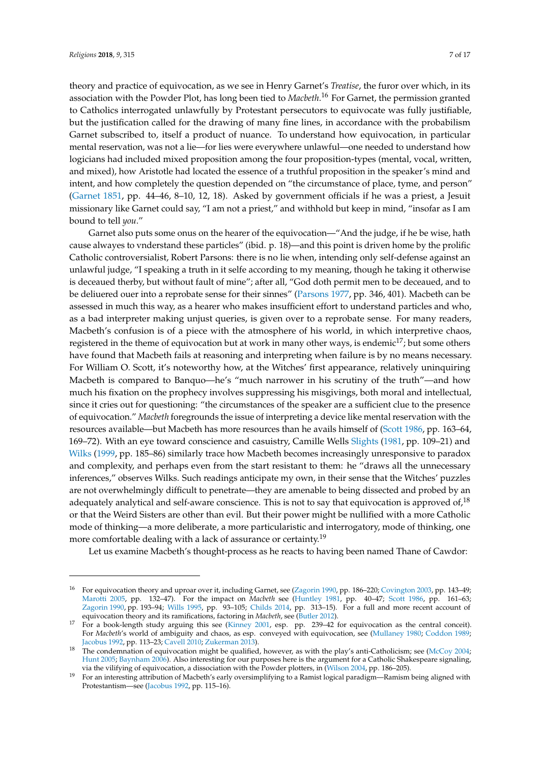theory and practice of equivocation, as we see in Henry Garnet's *Treatise*, the furor over which, in its association with the Powder Plot, has long been tied to *Macbeth*. <sup>16</sup> For Garnet, the permission granted to Catholics interrogated unlawfully by Protestant persecutors to equivocate was fully justifiable, but the justification called for the drawing of many fine lines, in accordance with the probabilism Garnet subscribed to, itself a product of nuance. To understand how equivocation, in particular mental reservation, was not a lie—for lies were everywhere unlawful—one needed to understand how logicians had included mixed proposition among the four proposition-types (mental, vocal, written, and mixed), how Aristotle had located the essence of a truthful proposition in the speaker's mind and intent, and how completely the question depended on "the circumstance of place, tyme, and person" [\(Garnet](#page-16-21) [1851,](#page-16-21) pp. 44–46, 8–10, 12, 18). Asked by government officials if he was a priest, a Jesuit missionary like Garnet could say, "I am not a priest," and withhold but keep in mind, "insofar as I am bound to tell *you*."

Garnet also puts some onus on the hearer of the equivocation—"And the judge, if he be wise, hath cause alwayes to vnderstand these particles" (ibid. p. 18)—and this point is driven home by the prolific Catholic controversialist, Robert Parsons: there is no lie when, intending only self-defense against an unlawful judge, "I speaking a truth in it selfe according to my meaning, though he taking it otherwise is deceaued therby, but without fault of mine"; after all, "God doth permit men to be deceaued, and to be deliuered ouer into a reprobate sense for their sinnes" [\(Parsons](#page-17-14) [1977,](#page-17-14) pp. 346, 401). Macbeth can be assessed in much this way, as a hearer who makes insufficient effort to understand particles and who, as a bad interpreter making unjust queries, is given over to a reprobate sense. For many readers, Macbeth's confusion is of a piece with the atmosphere of his world, in which interpretive chaos, registered in the theme of equivocation but at work in many other ways, is endemic<sup>17</sup>; but some others have found that Macbeth fails at reasoning and interpreting when failure is by no means necessary. For William O. Scott, it's noteworthy how, at the Witches' first appearance, relatively uninquiring Macbeth is compared to Banquo—he's "much narrower in his scrutiny of the truth"—and how much his fixation on the prophecy involves suppressing his misgivings, both moral and intellectual, since it cries out for questioning: "the circumstances of the speaker are a sufficient clue to the presence of equivocation." *Macbeth* foregrounds the issue of interpreting a device like mental reservation with the resources available—but Macbeth has more resources than he avails himself of [\(Scott](#page-17-15) [1986,](#page-17-15) pp. 163–64, 169–72). With an eye toward conscience and casuistry, Camille Wells [Slights](#page-17-16) [\(1981,](#page-17-16) pp. 109–21) and [Wilks](#page-17-17) [\(1999,](#page-17-17) pp. 185–86) similarly trace how Macbeth becomes increasingly unresponsive to paradox and complexity, and perhaps even from the start resistant to them: he "draws all the unnecessary inferences," observes Wilks. Such readings anticipate my own, in their sense that the Witches' puzzles are not overwhelmingly difficult to penetrate—they are amenable to being dissected and probed by an adequately analytical and self-aware conscience. This is not to say that equivocation is approved of,  $^{18}$ or that the Weird Sisters are other than evil. But their power might be nullified with a more Catholic mode of thinking—a more deliberate, a more particularistic and interrogatory, mode of thinking, one more comfortable dealing with a lack of assurance or certainty.<sup>19</sup>

Let us examine Macbeth's thought-process as he reacts to having been named Thane of Cawdor:

<sup>16</sup> For equivocation theory and uproar over it, including Garnet, see [\(Zagorin](#page-17-12) [1990,](#page-17-12) pp. 186–220; [Covington](#page-16-22) [2003,](#page-16-22) pp. 143–49; [Marotti](#page-16-23) [2005,](#page-16-23) pp. 132–47). For the impact on *Macbeth* see [\(Huntley](#page-16-24) [1981,](#page-16-24) pp. 40–47; [Scott](#page-17-15) [1986,](#page-17-15) pp. 161–63; [Zagorin](#page-17-12) [1990,](#page-17-12) pp. 193–94; [Wills](#page-17-18) [1995,](#page-17-18) pp. 93–105; [Childs](#page-16-25) [2014,](#page-16-25) pp. 313–15). For a full and more recent account of equivocation theory and its ramifications, factoring in *Macbeth*, see [\(Butler](#page-15-8) [2012\)](#page-15-8).

<sup>17</sup> For a book-length study arguing this see [\(Kinney](#page-16-26) [2001,](#page-16-26) esp. pp. 239–42 for equivocation as the central conceit). For *Macbeth*'s world of ambiguity and chaos, as esp. conveyed with equivocation, see [\(Mullaney](#page-16-27) [1980;](#page-16-27) [Coddon](#page-16-28) [1989;](#page-16-28) [Jacobus](#page-16-29) [1992,](#page-16-29) pp. 113–23; [Cavell](#page-16-30) [2010;](#page-16-30) [Zukerman](#page-17-19) [2013\)](#page-17-19).

<sup>18</sup> The condemnation of equivocation might be qualified, however, as with the play's anti-Catholicism; see [\(McCoy](#page-16-31) [2004;](#page-16-31) [Hunt](#page-16-32) [2005;](#page-16-32) [Baynham](#page-15-9) [2006\)](#page-15-9). Also interesting for our purposes here is the argument for a Catholic Shakespeare signaling, via the vilifying of equivocation, a dissociation with the Powder plotters, in [\(Wilson](#page-17-20) [2004,](#page-17-20) pp. 186–205).

<sup>19</sup> For an interesting attribution of Macbeth's early oversimplifying to a Ramist logical paradigm—Ramism being aligned with Protestantism—see [\(Jacobus](#page-16-29) [1992,](#page-16-29) pp. 115–16).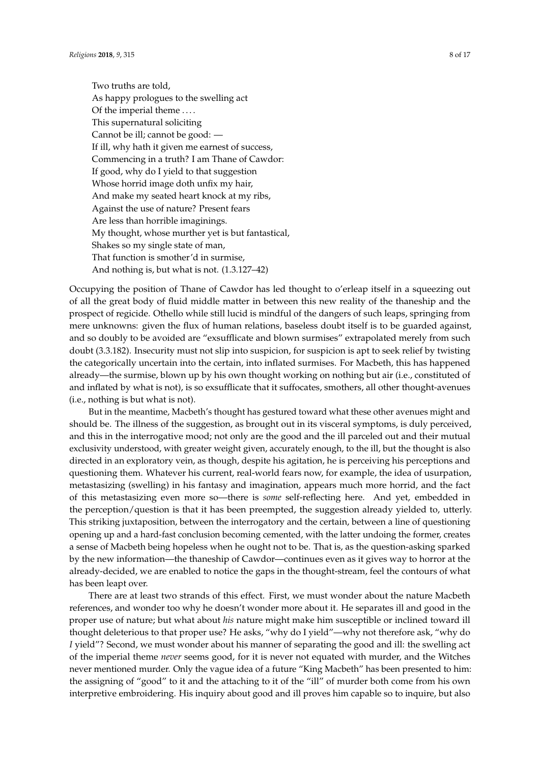Two truths are told, As happy prologues to the swelling act Of the imperial theme . . . . This supernatural soliciting Cannot be ill; cannot be good: — If ill, why hath it given me earnest of success, Commencing in a truth? I am Thane of Cawdor: If good, why do I yield to that suggestion Whose horrid image doth unfix my hair, And make my seated heart knock at my ribs, Against the use of nature? Present fears Are less than horrible imaginings. My thought, whose murther yet is but fantastical, Shakes so my single state of man, That function is smother'd in surmise, And nothing is, but what is not. (1.3.127–42)

Occupying the position of Thane of Cawdor has led thought to o'erleap itself in a squeezing out of all the great body of fluid middle matter in between this new reality of the thaneship and the prospect of regicide. Othello while still lucid is mindful of the dangers of such leaps, springing from mere unknowns: given the flux of human relations, baseless doubt itself is to be guarded against, and so doubly to be avoided are "exsufflicate and blown surmises" extrapolated merely from such doubt (3.3.182). Insecurity must not slip into suspicion, for suspicion is apt to seek relief by twisting the categorically uncertain into the certain, into inflated surmises. For Macbeth, this has happened already—the surmise, blown up by his own thought working on nothing but air (i.e., constituted of and inflated by what is not), is so exsufflicate that it suffocates, smothers, all other thought-avenues (i.e., nothing is but what is not).

But in the meantime, Macbeth's thought has gestured toward what these other avenues might and should be. The illness of the suggestion, as brought out in its visceral symptoms, is duly perceived, and this in the interrogative mood; not only are the good and the ill parceled out and their mutual exclusivity understood, with greater weight given, accurately enough, to the ill, but the thought is also directed in an exploratory vein, as though, despite his agitation, he is perceiving his perceptions and questioning them. Whatever his current, real-world fears now, for example, the idea of usurpation, metastasizing (swelling) in his fantasy and imagination, appears much more horrid, and the fact of this metastasizing even more so—there is *some* self-reflecting here. And yet, embedded in the perception/question is that it has been preempted, the suggestion already yielded to, utterly. This striking juxtaposition, between the interrogatory and the certain, between a line of questioning opening up and a hard-fast conclusion becoming cemented, with the latter undoing the former, creates a sense of Macbeth being hopeless when he ought not to be. That is, as the question-asking sparked by the new information—the thaneship of Cawdor—continues even as it gives way to horror at the already-decided, we are enabled to notice the gaps in the thought-stream, feel the contours of what has been leapt over.

There are at least two strands of this effect. First, we must wonder about the nature Macbeth references, and wonder too why he doesn't wonder more about it. He separates ill and good in the proper use of nature; but what about *his* nature might make him susceptible or inclined toward ill thought deleterious to that proper use? He asks, "why do I yield"—why not therefore ask, "why do *I* yield"? Second, we must wonder about his manner of separating the good and ill: the swelling act of the imperial theme *never* seems good, for it is never not equated with murder, and the Witches never mentioned murder. Only the vague idea of a future "King Macbeth" has been presented to him: the assigning of "good" to it and the attaching to it of the "ill" of murder both come from his own interpretive embroidering. His inquiry about good and ill proves him capable so to inquire, but also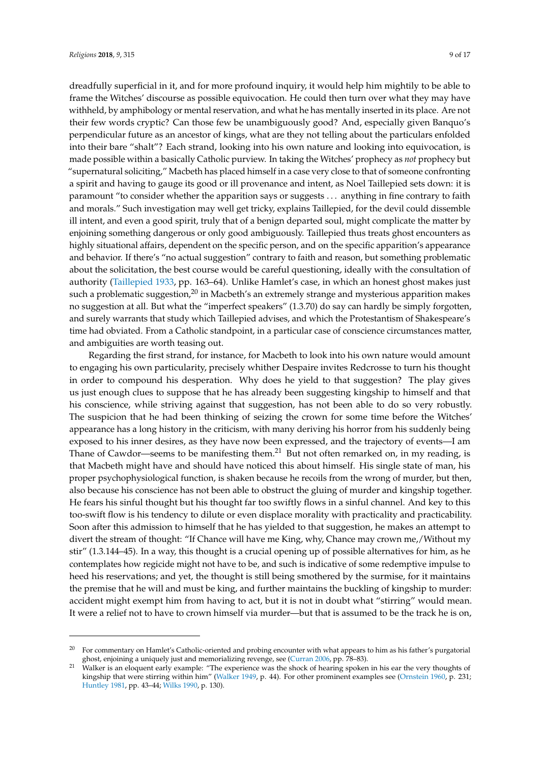dreadfully superficial in it, and for more profound inquiry, it would help him mightily to be able to frame the Witches' discourse as possible equivocation. He could then turn over what they may have withheld, by amphibology or mental reservation, and what he has mentally inserted in its place. Are not their few words cryptic? Can those few be unambiguously good? And, especially given Banquo's perpendicular future as an ancestor of kings, what are they not telling about the particulars enfolded into their bare "shalt"? Each strand, looking into his own nature and looking into equivocation, is made possible within a basically Catholic purview. In taking the Witches' prophecy as *not* prophecy but "supernatural soliciting," Macbeth has placed himself in a case very close to that of someone confronting a spirit and having to gauge its good or ill provenance and intent, as Noel Taillepied sets down: it is paramount "to consider whether the apparition says or suggests . . . anything in fine contrary to faith and morals." Such investigation may well get tricky, explains Taillepied, for the devil could dissemble ill intent, and even a good spirit, truly that of a benign departed soul, might complicate the matter by enjoining something dangerous or only good ambiguously. Taillepied thus treats ghost encounters as highly situational affairs, dependent on the specific person, and on the specific apparition's appearance and behavior. If there's "no actual suggestion" contrary to faith and reason, but something problematic about the solicitation, the best course would be careful questioning, ideally with the consultation of authority [\(Taillepied](#page-17-21) [1933,](#page-17-21) pp. 163–64). Unlike Hamlet's case, in which an honest ghost makes just such a problematic suggestion, $^{20}$  in Macbeth's an extremely strange and mysterious apparition makes no suggestion at all. But what the "imperfect speakers" (1.3.70) do say can hardly be simply forgotten, and surely warrants that study which Taillepied advises, and which the Protestantism of Shakespeare's time had obviated. From a Catholic standpoint, in a particular case of conscience circumstances matter, and ambiguities are worth teasing out.

Regarding the first strand, for instance, for Macbeth to look into his own nature would amount to engaging his own particularity, precisely whither Despaire invites Redcrosse to turn his thought in order to compound his desperation. Why does he yield to that suggestion? The play gives us just enough clues to suppose that he has already been suggesting kingship to himself and that his conscience, while striving against that suggestion, has not been able to do so very robustly. The suspicion that he had been thinking of seizing the crown for some time before the Witches' appearance has a long history in the criticism, with many deriving his horror from his suddenly being exposed to his inner desires, as they have now been expressed, and the trajectory of events—I am Thane of Cawdor—seems to be manifesting them.<sup>21</sup> But not often remarked on, in my reading, is that Macbeth might have and should have noticed this about himself. His single state of man, his proper psychophysiological function, is shaken because he recoils from the wrong of murder, but then, also because his conscience has not been able to obstruct the gluing of murder and kingship together. He fears his sinful thought but his thought far too swiftly flows in a sinful channel. And key to this too-swift flow is his tendency to dilute or even displace morality with practicality and practicability. Soon after this admission to himself that he has yielded to that suggestion, he makes an attempt to divert the stream of thought: "If Chance will have me King, why, Chance may crown me,/Without my stir" (1.3.144–45). In a way, this thought is a crucial opening up of possible alternatives for him, as he contemplates how regicide might not have to be, and such is indicative of some redemptive impulse to heed his reservations; and yet, the thought is still being smothered by the surmise, for it maintains the premise that he will and must be king, and further maintains the buckling of kingship to murder: accident might exempt him from having to act, but it is not in doubt what "stirring" would mean. It were a relief not to have to crown himself via murder—but that is assumed to be the track he is on,

<sup>20</sup> For commentary on Hamlet's Catholic-oriented and probing encounter with what appears to him as his father's purgatorial ghost, enjoining a uniquely just and memorializing revenge, see [\(Curran](#page-16-1) [2006,](#page-16-1) pp. 78–83).

<sup>&</sup>lt;sup>21</sup> Walker is an eloquent early example: "The experience was the shock of hearing spoken in his ear the very thoughts of kingship that were stirring within him" [\(Walker](#page-17-22) [1949,](#page-17-22) p. 44). For other prominent examples see [\(Ornstein](#page-17-23) [1960,](#page-17-23) p. 231; [Huntley](#page-16-24) [1981,](#page-16-24) pp. 43–44; [Wilks](#page-17-0) [1990,](#page-17-0) p. 130).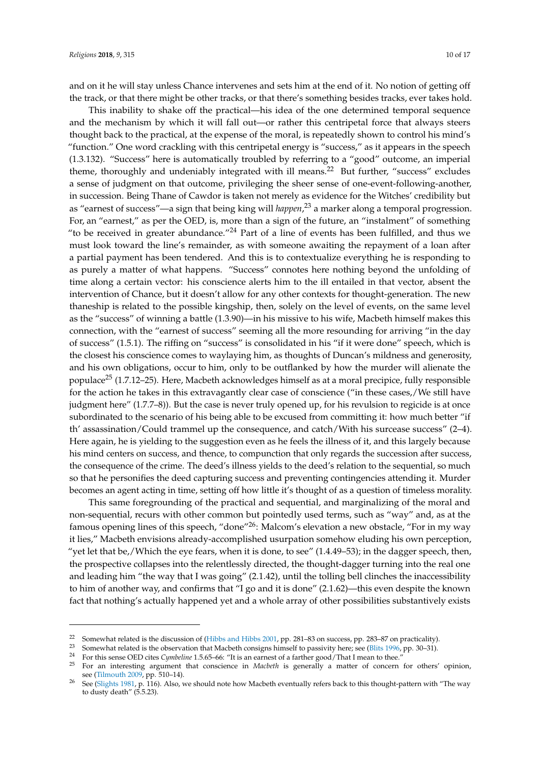and on it he will stay unless Chance intervenes and sets him at the end of it. No notion of getting off the track, or that there might be other tracks, or that there's something besides tracks, ever takes hold.

This inability to shake off the practical—his idea of the one determined temporal sequence and the mechanism by which it will fall out—or rather this centripetal force that always steers thought back to the practical, at the expense of the moral, is repeatedly shown to control his mind's "function." One word crackling with this centripetal energy is "success," as it appears in the speech (1.3.132). "Success" here is automatically troubled by referring to a "good" outcome, an imperial theme, thoroughly and undeniably integrated with ill means.<sup>22</sup> But further, "success" excludes a sense of judgment on that outcome, privileging the sheer sense of one-event-following-another, in succession. Being Thane of Cawdor is taken not merely as evidence for the Witches' credibility but as "earnest of success"—a sign that being king will *happen*, <sup>23</sup> a marker along a temporal progression. For, an "earnest," as per the OED, is, more than a sign of the future, an "instalment" of something "to be received in greater abundance."<sup>24</sup> Part of a line of events has been fulfilled, and thus we must look toward the line's remainder, as with someone awaiting the repayment of a loan after a partial payment has been tendered. And this is to contextualize everything he is responding to as purely a matter of what happens. "Success" connotes here nothing beyond the unfolding of time along a certain vector: his conscience alerts him to the ill entailed in that vector, absent the intervention of Chance, but it doesn't allow for any other contexts for thought-generation. The new thaneship is related to the possible kingship, then, solely on the level of events, on the same level as the "success" of winning a battle (1.3.90)—in his missive to his wife, Macbeth himself makes this connection, with the "earnest of success" seeming all the more resounding for arriving "in the day of success" (1.5.1). The riffing on "success" is consolidated in his "if it were done" speech, which is the closest his conscience comes to waylaying him, as thoughts of Duncan's mildness and generosity, and his own obligations, occur to him, only to be outflanked by how the murder will alienate the populace<sup>25</sup> (1.7.12–25). Here, Macbeth acknowledges himself as at a moral precipice, fully responsible for the action he takes in this extravagantly clear case of conscience ("in these cases,/We still have judgment here" (1.7.7–8)). But the case is never truly opened up, for his revulsion to regicide is at once subordinated to the scenario of his being able to be excused from committing it: how much better "if th' assassination/Could trammel up the consequence, and catch/With his surcease success" (2–4). Here again, he is yielding to the suggestion even as he feels the illness of it, and this largely because his mind centers on success, and thence, to compunction that only regards the succession after success, the consequence of the crime. The deed's illness yields to the deed's relation to the sequential, so much so that he personifies the deed capturing success and preventing contingencies attending it. Murder becomes an agent acting in time, setting off how little it's thought of as a question of timeless morality.

This same foregrounding of the practical and sequential, and marginalizing of the moral and non-sequential, recurs with other common but pointedly used terms, such as "way" and, as at the famous opening lines of this speech, "done"<sup>26</sup>: Malcom's elevation a new obstacle, "For in my way it lies," Macbeth envisions already-accomplished usurpation somehow eluding his own perception, "yet let that be, / Which the eye fears, when it is done, to see"  $(1.4.49-53)$ ; in the dagger speech, then, the prospective collapses into the relentlessly directed, the thought-dagger turning into the real one and leading him "the way that I was going" (2.1.42), until the tolling bell clinches the inaccessibility to him of another way, and confirms that "I go and it is done" (2.1.62)—this even despite the known fact that nothing's actually happened yet and a whole array of other possibilities substantively exists

<sup>&</sup>lt;sup>22</sup> Somewhat related is the discussion of [\(Hibbs and Hibbs](#page-16-7) [2001,](#page-16-7) pp. 281–83 on success, pp. 283–87 on practicality).<br><sup>23</sup> Somewhat related is the observation that Macheth consigns himself to passivity here: see (Blits 19

<sup>&</sup>lt;sup>23</sup> Somewhat related is the observation that Macbeth consigns himself to passivity here; see [\(Blits](#page-15-10) [1996,](#page-15-10) pp. 30–31).

<sup>24</sup> For this sense OED cites *Cymbeline* 1.5.65–66: "It is an earnest of a farther good/That I mean to thee."

<sup>25</sup> For an interesting argument that conscience in *Macbeth* is generally a matter of concern for others' opinion, see [\(Tilmouth](#page-17-24) [2009,](#page-17-24) pp. 510–14).

<sup>&</sup>lt;sup>26</sup> See [\(Slights](#page-17-16) [1981,](#page-17-16) p. 116). Also, we should note how Macbeth eventually refers back to this thought-pattern with "The way to dusty death" (5.5.23).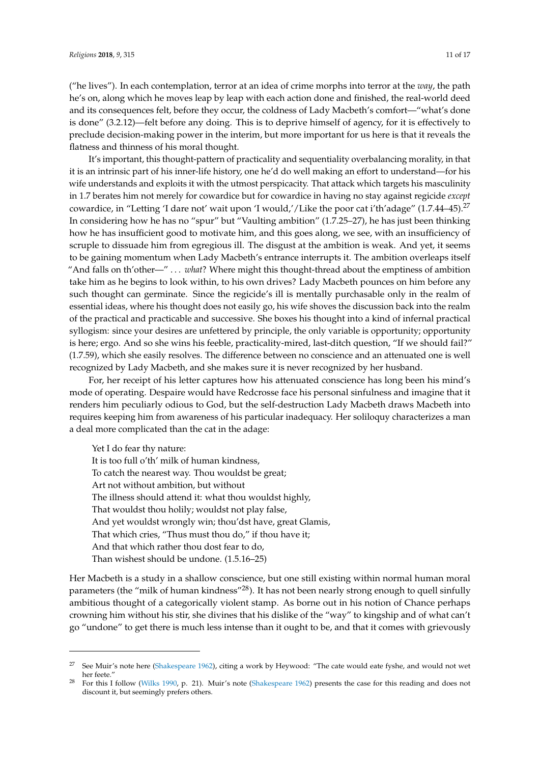("he lives"). In each contemplation, terror at an idea of crime morphs into terror at the *way*, the path he's on, along which he moves leap by leap with each action done and finished, the real-world deed and its consequences felt, before they occur, the coldness of Lady Macbeth's comfort—"what's done is done" (3.2.12)—felt before any doing. This is to deprive himself of agency, for it is effectively to preclude decision-making power in the interim, but more important for us here is that it reveals the flatness and thinness of his moral thought.

It's important, this thought-pattern of practicality and sequentiality overbalancing morality, in that it is an intrinsic part of his inner-life history, one he'd do well making an effort to understand—for his wife understands and exploits it with the utmost perspicacity. That attack which targets his masculinity in 1.7 berates him not merely for cowardice but for cowardice in having no stay against regicide *except* cowardice, in "Letting 'I dare not' wait upon 'I would,'/Like the poor cat i'th'adage" (1.7.44-45).<sup>27</sup> In considering how he has no "spur" but "Vaulting ambition" (1.7.25–27), he has just been thinking how he has insufficient good to motivate him, and this goes along, we see, with an insufficiency of scruple to dissuade him from egregious ill. The disgust at the ambition is weak. And yet, it seems to be gaining momentum when Lady Macbeth's entrance interrupts it. The ambition overleaps itself "And falls on th'other—" . . . *what*? Where might this thought-thread about the emptiness of ambition take him as he begins to look within, to his own drives? Lady Macbeth pounces on him before any such thought can germinate. Since the regicide's ill is mentally purchasable only in the realm of essential ideas, where his thought does not easily go, his wife shoves the discussion back into the realm of the practical and practicable and successive. She boxes his thought into a kind of infernal practical syllogism: since your desires are unfettered by principle, the only variable is opportunity; opportunity is here; ergo. And so she wins his feeble, practicality-mired, last-ditch question, "If we should fail?" (1.7.59), which she easily resolves. The difference between no conscience and an attenuated one is well recognized by Lady Macbeth, and she makes sure it is never recognized by her husband.

For, her receipt of his letter captures how his attenuated conscience has long been his mind's mode of operating. Despaire would have Redcrosse face his personal sinfulness and imagine that it renders him peculiarly odious to God, but the self-destruction Lady Macbeth draws Macbeth into requires keeping him from awareness of his particular inadequacy. Her soliloquy characterizes a man a deal more complicated than the cat in the adage:

Yet I do fear thy nature:

It is too full o'th' milk of human kindness, To catch the nearest way. Thou wouldst be great; Art not without ambition, but without The illness should attend it: what thou wouldst highly, That wouldst thou holily; wouldst not play false, And yet wouldst wrongly win; thou'dst have, great Glamis, That which cries, "Thus must thou do," if thou have it; And that which rather thou dost fear to do, Than wishest should be undone. (1.5.16–25)

Her Macbeth is a study in a shallow conscience, but one still existing within normal human moral parameters (the "milk of human kindness"<sup>28</sup>). It has not been nearly strong enough to quell sinfully ambitious thought of a categorically violent stamp. As borne out in his notion of Chance perhaps crowning him without his stir, she divines that his dislike of the "way" to kingship and of what can't go "undone" to get there is much less intense than it ought to be, and that it comes with grievously

<sup>27</sup> See Muir's note here [\(Shakespeare](#page-17-2) [1962\)](#page-17-2), citing a work by Heywood: "The cate would eate fyshe, and would not wet her feete.

<sup>&</sup>lt;sup>28</sup> For this I follow [\(Wilks](#page-17-0) [1990,](#page-17-0) p. 21). Muir's note [\(Shakespeare](#page-17-2) [1962\)](#page-17-2) presents the case for this reading and does not discount it, but seemingly prefers others.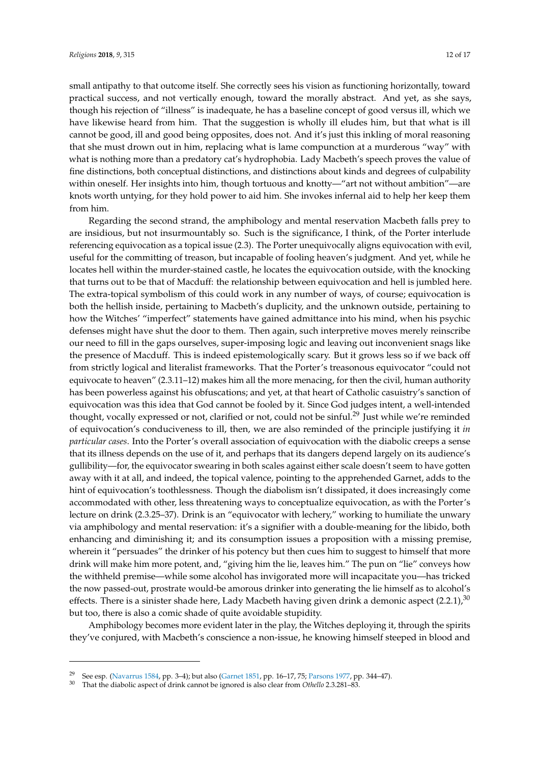small antipathy to that outcome itself. She correctly sees his vision as functioning horizontally, toward practical success, and not vertically enough, toward the morally abstract. And yet, as she says, though his rejection of "illness" is inadequate, he has a baseline concept of good versus ill, which we have likewise heard from him. That the suggestion is wholly ill eludes him, but that what is ill cannot be good, ill and good being opposites, does not. And it's just this inkling of moral reasoning that she must drown out in him, replacing what is lame compunction at a murderous "way" with what is nothing more than a predatory cat's hydrophobia. Lady Macbeth's speech proves the value of fine distinctions, both conceptual distinctions, and distinctions about kinds and degrees of culpability within oneself. Her insights into him, though tortuous and knotty—"art not without ambition"—are knots worth untying, for they hold power to aid him. She invokes infernal aid to help her keep them from him.

Regarding the second strand, the amphibology and mental reservation Macbeth falls prey to are insidious, but not insurmountably so. Such is the significance, I think, of the Porter interlude referencing equivocation as a topical issue (2.3). The Porter unequivocally aligns equivocation with evil, useful for the committing of treason, but incapable of fooling heaven's judgment. And yet, while he locates hell within the murder-stained castle, he locates the equivocation outside, with the knocking that turns out to be that of Macduff: the relationship between equivocation and hell is jumbled here. The extra-topical symbolism of this could work in any number of ways, of course; equivocation is both the hellish inside, pertaining to Macbeth's duplicity, and the unknown outside, pertaining to how the Witches' "imperfect" statements have gained admittance into his mind, when his psychic defenses might have shut the door to them. Then again, such interpretive moves merely reinscribe our need to fill in the gaps ourselves, super-imposing logic and leaving out inconvenient snags like the presence of Macduff. This is indeed epistemologically scary. But it grows less so if we back off from strictly logical and literalist frameworks. That the Porter's treasonous equivocator "could not equivocate to heaven" (2.3.11–12) makes him all the more menacing, for then the civil, human authority has been powerless against his obfuscations; and yet, at that heart of Catholic casuistry's sanction of equivocation was this idea that God cannot be fooled by it. Since God judges intent, a well-intended thought, vocally expressed or not, clarified or not, could not be sinful.<sup>29</sup> Just while we're reminded of equivocation's conduciveness to ill, then, we are also reminded of the principle justifying it *in particular cases*. Into the Porter's overall association of equivocation with the diabolic creeps a sense that its illness depends on the use of it, and perhaps that its dangers depend largely on its audience's gullibility—for, the equivocator swearing in both scales against either scale doesn't seem to have gotten away with it at all, and indeed, the topical valence, pointing to the apprehended Garnet, adds to the hint of equivocation's toothlessness. Though the diabolism isn't dissipated, it does increasingly come accommodated with other, less threatening ways to conceptualize equivocation, as with the Porter's lecture on drink (2.3.25–37). Drink is an "equivocator with lechery," working to humiliate the unwary via amphibology and mental reservation: it's a signifier with a double-meaning for the libido, both enhancing and diminishing it; and its consumption issues a proposition with a missing premise, wherein it "persuades" the drinker of his potency but then cues him to suggest to himself that more drink will make him more potent, and, "giving him the lie, leaves him." The pun on "lie" conveys how the withheld premise—while some alcohol has invigorated more will incapacitate you—has tricked the now passed-out, prostrate would-be amorous drinker into generating the lie himself as to alcohol's effects. There is a sinister shade here, Lady Macbeth having given drink a demonic aspect  $(2.2.1)$ ,  $30$ but too, there is also a comic shade of quite avoidable stupidity.

Amphibology becomes more evident later in the play, the Witches deploying it, through the spirits they've conjured, with Macbeth's conscience a non-issue, he knowing himself steeped in blood and

<sup>29</sup> See esp. [\(Navarrus](#page-17-25) [1584,](#page-17-25) pp. 3–4); but also [\(Garnet](#page-16-21) [1851,](#page-16-21) pp. 16–17, 75; [Parsons](#page-17-14) [1977,](#page-17-14) pp. 344–47).

<sup>30</sup> That the diabolic aspect of drink cannot be ignored is also clear from *Othello* 2.3.281–83.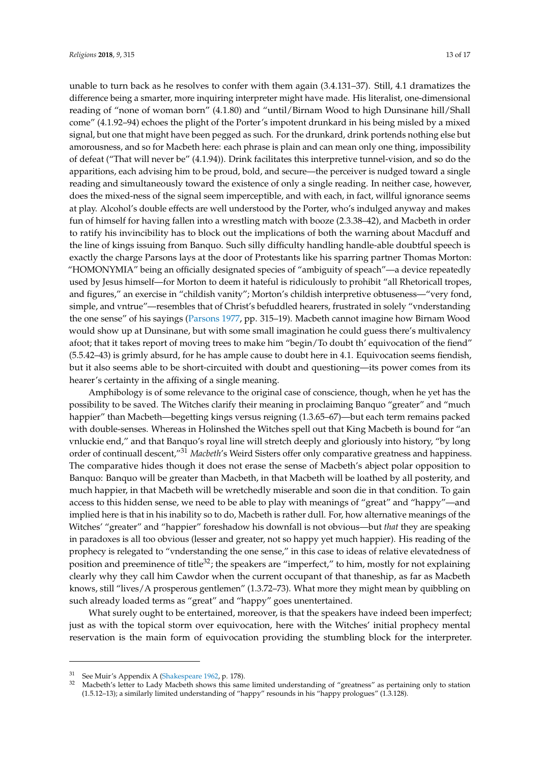unable to turn back as he resolves to confer with them again (3.4.131–37). Still, 4.1 dramatizes the difference being a smarter, more inquiring interpreter might have made. His literalist, one-dimensional reading of "none of woman born" (4.1.80) and "until/Birnam Wood to high Dunsinane hill/Shall come" (4.1.92–94) echoes the plight of the Porter's impotent drunkard in his being misled by a mixed signal, but one that might have been pegged as such. For the drunkard, drink portends nothing else but amorousness, and so for Macbeth here: each phrase is plain and can mean only one thing, impossibility of defeat ("That will never be" (4.1.94)). Drink facilitates this interpretive tunnel-vision, and so do the apparitions, each advising him to be proud, bold, and secure—the perceiver is nudged toward a single reading and simultaneously toward the existence of only a single reading. In neither case, however, does the mixed-ness of the signal seem imperceptible, and with each, in fact, willful ignorance seems at play. Alcohol's double effects are well understood by the Porter, who's indulged anyway and makes fun of himself for having fallen into a wrestling match with booze (2.3.38–42), and Macbeth in order to ratify his invincibility has to block out the implications of both the warning about Macduff and the line of kings issuing from Banquo. Such silly difficulty handling handle-able doubtful speech is exactly the charge Parsons lays at the door of Protestants like his sparring partner Thomas Morton: "HOMONYMIA" being an officially designated species of "ambiguity of speach"—a device repeatedly used by Jesus himself—for Morton to deem it hateful is ridiculously to prohibit "all Rhetoricall tropes, and figures," an exercise in "childish vanity"; Morton's childish interpretive obtuseness—"very fond, simple, and vntrue"—resembles that of Christ's befuddled hearers, frustrated in solely "vnderstanding the one sense" of his sayings [\(Parsons](#page-17-14) [1977,](#page-17-14) pp. 315–19). Macbeth cannot imagine how Birnam Wood would show up at Dunsinane, but with some small imagination he could guess there's multivalency afoot; that it takes report of moving trees to make him "begin/To doubt th' equivocation of the fiend" (5.5.42–43) is grimly absurd, for he has ample cause to doubt here in 4.1. Equivocation seems fiendish, but it also seems able to be short-circuited with doubt and questioning—its power comes from its hearer's certainty in the affixing of a single meaning.

Amphibology is of some relevance to the original case of conscience, though, when he yet has the possibility to be saved. The Witches clarify their meaning in proclaiming Banquo "greater" and "much happier" than Macbeth—begetting kings versus reigning (1.3.65–67)—but each term remains packed with double-senses. Whereas in Holinshed the Witches spell out that King Macbeth is bound for "an vnluckie end," and that Banquo's royal line will stretch deeply and gloriously into history, "by long order of continuall descent,"<sup>31</sup> *Macbeth*'s Weird Sisters offer only comparative greatness and happiness. The comparative hides though it does not erase the sense of Macbeth's abject polar opposition to Banquo: Banquo will be greater than Macbeth, in that Macbeth will be loathed by all posterity, and much happier, in that Macbeth will be wretchedly miserable and soon die in that condition. To gain access to this hidden sense, we need to be able to play with meanings of "great" and "happy"—and implied here is that in his inability so to do, Macbeth is rather dull. For, how alternative meanings of the Witches' "greater" and "happier" foreshadow his downfall is not obvious—but *that* they are speaking in paradoxes is all too obvious (lesser and greater, not so happy yet much happier). His reading of the prophecy is relegated to "vnderstanding the one sense," in this case to ideas of relative elevatedness of position and preeminence of title<sup>32</sup>; the speakers are "imperfect," to him, mostly for not explaining clearly why they call him Cawdor when the current occupant of that thaneship, as far as Macbeth knows, still "lives/A prosperous gentlemen" (1.3.72–73). What more they might mean by quibbling on such already loaded terms as "great" and "happy" goes unentertained.

What surely ought to be entertained, moreover, is that the speakers have indeed been imperfect; just as with the topical storm over equivocation, here with the Witches' initial prophecy mental reservation is the main form of equivocation providing the stumbling block for the interpreter.

<sup>&</sup>lt;sup>31</sup> See Muir's Appendix A [\(Shakespeare](#page-17-2) [1962,](#page-17-2) p. 178).<br> $32$  Mashath's latter to Lasty Mashath above this same

Macbeth's letter to Lady Macbeth shows this same limited understanding of "greatness" as pertaining only to station (1.5.12–13); a similarly limited understanding of "happy" resounds in his "happy prologues" (1.3.128).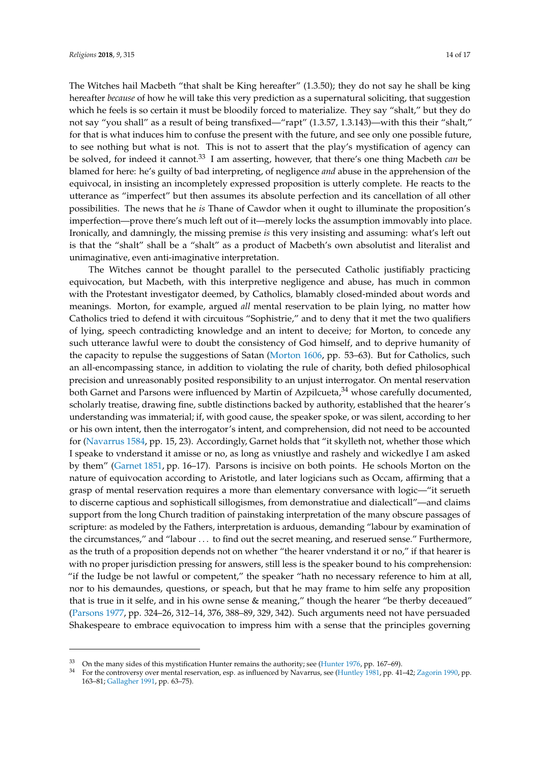The Witches hail Macbeth "that shalt be King hereafter" (1.3.50); they do not say he shall be king hereafter *because* of how he will take this very prediction as a supernatural soliciting, that suggestion which he feels is so certain it must be bloodily forced to materialize. They say "shalt," but they do not say "you shall" as a result of being transfixed—"rapt" (1.3.57, 1.3.143)—with this their "shalt," for that is what induces him to confuse the present with the future, and see only one possible future, to see nothing but what is not. This is not to assert that the play's mystification of agency can be solved, for indeed it cannot.<sup>33</sup> I am asserting, however, that there's one thing Macbeth *can* be blamed for here: he's guilty of bad interpreting, of negligence *and* abuse in the apprehension of the equivocal, in insisting an incompletely expressed proposition is utterly complete. He reacts to the utterance as "imperfect" but then assumes its absolute perfection and its cancellation of all other possibilities. The news that he *is* Thane of Cawdor when it ought to illuminate the proposition's imperfection—prove there's much left out of it—merely locks the assumption immovably into place. Ironically, and damningly, the missing premise *is* this very insisting and assuming: what's left out is that the "shalt" shall be a "shalt" as a product of Macbeth's own absolutist and literalist and unimaginative, even anti-imaginative interpretation.

The Witches cannot be thought parallel to the persecuted Catholic justifiably practicing equivocation, but Macbeth, with this interpretive negligence and abuse, has much in common with the Protestant investigator deemed, by Catholics, blamably closed-minded about words and meanings. Morton, for example, argued *all* mental reservation to be plain lying, no matter how Catholics tried to defend it with circuitous "Sophistrie," and to deny that it met the two qualifiers of lying, speech contradicting knowledge and an intent to deceive; for Morton, to concede any such utterance lawful were to doubt the consistency of God himself, and to deprive humanity of the capacity to repulse the suggestions of Satan [\(Morton](#page-16-33) [1606,](#page-16-33) pp. 53–63). But for Catholics, such an all-encompassing stance, in addition to violating the rule of charity, both defied philosophical precision and unreasonably posited responsibility to an unjust interrogator. On mental reservation both Garnet and Parsons were influenced by Martin of Azpilcueta, $34$  whose carefully documented, scholarly treatise, drawing fine, subtle distinctions backed by authority, established that the hearer's understanding was immaterial; if, with good cause, the speaker spoke, or was silent, according to her or his own intent, then the interrogator's intent, and comprehension, did not need to be accounted for [\(Navarrus](#page-17-25) [1584,](#page-17-25) pp. 15, 23). Accordingly, Garnet holds that "it skylleth not, whether those which I speake to vnderstand it amisse or no, as long as vniustlye and rashely and wickedlye I am asked by them" [\(Garnet](#page-16-21) [1851,](#page-16-21) pp. 16–17). Parsons is incisive on both points. He schools Morton on the nature of equivocation according to Aristotle, and later logicians such as Occam, affirming that a grasp of mental reservation requires a more than elementary conversance with logic—"it serueth to discerne captious and sophisticall sillogismes, from demonstratiue and dialecticall"—and claims support from the long Church tradition of painstaking interpretation of the many obscure passages of scripture: as modeled by the Fathers, interpretation is arduous, demanding "labour by examination of the circumstances," and "labour . . . to find out the secret meaning, and reserued sense." Furthermore, as the truth of a proposition depends not on whether "the hearer vnderstand it or no," if that hearer is with no proper jurisdiction pressing for answers, still less is the speaker bound to his comprehension: "if the Iudge be not lawful or competent," the speaker "hath no necessary reference to him at all, nor to his demaundes, questions, or speach, but that he may frame to him selfe any proposition that is true in it selfe, and in his owne sense & meaning," though the hearer "be therby deceaued" [\(Parsons](#page-17-14) [1977,](#page-17-14) pp. 324–26, 312–14, 376, 388–89, 329, 342). Such arguments need not have persuaded Shakespeare to embrace equivocation to impress him with a sense that the principles governing

 $33$  On the many sides of this mystification Hunter remains the authority; see [\(Hunter](#page-16-0) [1976,](#page-16-0) pp. 167–69).<br> $34$  For the controvery over montal receivation esp as influenced by Navarrus see (Huntley 1981, pp. 41).

<sup>34</sup> For the controversy over mental reservation, esp. as influenced by Navarrus, see [\(Huntley](#page-16-24) [1981,](#page-16-24) pp. 41–42; [Zagorin](#page-17-12) [1990,](#page-17-12) pp. 163–81; [Gallagher](#page-16-20) [1991,](#page-16-20) pp. 63–75).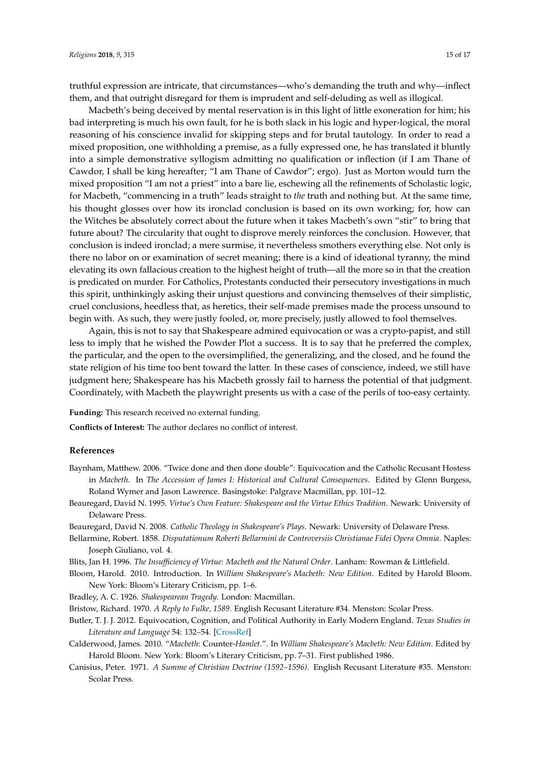truthful expression are intricate, that circumstances—who's demanding the truth and why—inflect them, and that outright disregard for them is imprudent and self-deluding as well as illogical.

Macbeth's being deceived by mental reservation is in this light of little exoneration for him; his bad interpreting is much his own fault, for he is both slack in his logic and hyper-logical, the moral reasoning of his conscience invalid for skipping steps and for brutal tautology. In order to read a mixed proposition, one withholding a premise, as a fully expressed one, he has translated it bluntly into a simple demonstrative syllogism admitting no qualification or inflection (if I am Thane of Cawdor, I shall be king hereafter; "I am Thane of Cawdor"; ergo). Just as Morton would turn the mixed proposition "I am not a priest" into a bare lie, eschewing all the refinements of Scholastic logic, for Macbeth, "commencing in a truth" leads straight to *the* truth and nothing but. At the same time, his thought glosses over how its ironclad conclusion is based on its own working; for, how can the Witches be absolutely correct about the future when it takes Macbeth's own "stir" to bring that future about? The circularity that ought to disprove merely reinforces the conclusion. However, that conclusion is indeed ironclad; a mere surmise, it nevertheless smothers everything else. Not only is there no labor on or examination of secret meaning; there is a kind of ideational tyranny, the mind elevating its own fallacious creation to the highest height of truth—all the more so in that the creation is predicated on murder. For Catholics, Protestants conducted their persecutory investigations in much this spirit, unthinkingly asking their unjust questions and convincing themselves of their simplistic, cruel conclusions, heedless that, as heretics, their self-made premises made the process unsound to begin with. As such, they were justly fooled, or, more precisely, justly allowed to fool themselves.

Again, this is not to say that Shakespeare admired equivocation or was a crypto-papist, and still less to imply that he wished the Powder Plot a success. It is to say that he preferred the complex, the particular, and the open to the oversimplified, the generalizing, and the closed, and he found the state religion of his time too bent toward the latter. In these cases of conscience, indeed, we still have judgment here; Shakespeare has his Macbeth grossly fail to harness the potential of that judgment. Coordinately, with Macbeth the playwright presents us with a case of the perils of too-easy certainty.

**Funding:** This research received no external funding.

**Conflicts of Interest:** The author declares no conflict of interest.

#### **References**

- <span id="page-15-9"></span>Baynham, Matthew. 2006. "Twice done and then done double": Equivocation and the Catholic Recusant Hostess in *Macbeth*. In *The Accession of James I: Historical and Cultural Consequences*. Edited by Glenn Burgess, Roland Wymer and Jason Lawrence. Basingstoke: Palgrave Macmillan, pp. 101–12.
- <span id="page-15-3"></span>Beauregard, David N. 1995. *Virtue's Own Feature: Shakespeare and the Virtue Ethics Tradition*. Newark: University of Delaware Press.
- <span id="page-15-4"></span>Beauregard, David N. 2008. *Catholic Theology in Shakespeare's Plays*. Newark: University of Delaware Press.
- <span id="page-15-7"></span>Bellarmine, Robert. 1858. *Disputationum Roberti Bellarmini de Controversiis Christianae Fidei Opera Omnia*. Naples: Joseph Giuliano, vol. 4.
- <span id="page-15-10"></span>Blits, Jan H. 1996. *The Insufficiency of Virtue: Macbeth and the Natural Order*. Lanham: Rowman & Littlefield.
- <span id="page-15-1"></span>Bloom, Harold. 2010. Introduction. In *William Shakespeare's Macbeth: New Edition*. Edited by Harold Bloom. New York: Bloom's Literary Criticism, pp. 1–6.
- <span id="page-15-0"></span>Bradley, A. C. 1926. *Shakespearean Tragedy*. London: Macmillan.
- <span id="page-15-5"></span>Bristow, Richard. 1970. *A Reply to Fulke, 1589*. English Recusant Literature #34. Menston: Scolar Press.
- <span id="page-15-8"></span>Butler, T. J. J. 2012. Equivocation, Cognition, and Political Authority in Early Modern England. *Texas Studies in Literature and Language* 54: 132–54. [\[CrossRef\]](http://dx.doi.org/10.7560/TSLL54106)
- <span id="page-15-2"></span>Calderwood, James. 2010. "*Macbeth*: Counter-*Hamlet*.". In *William Shakespeare's Macbeth: New Edition*. Edited by Harold Bloom. New York: Bloom's Literary Criticism, pp. 7–31. First published 1986.
- <span id="page-15-6"></span>Canisius, Peter. 1971. *A Summe of Christian Doctrine (1592–1596)*. English Recusant Literature #35. Menston: Scolar Press.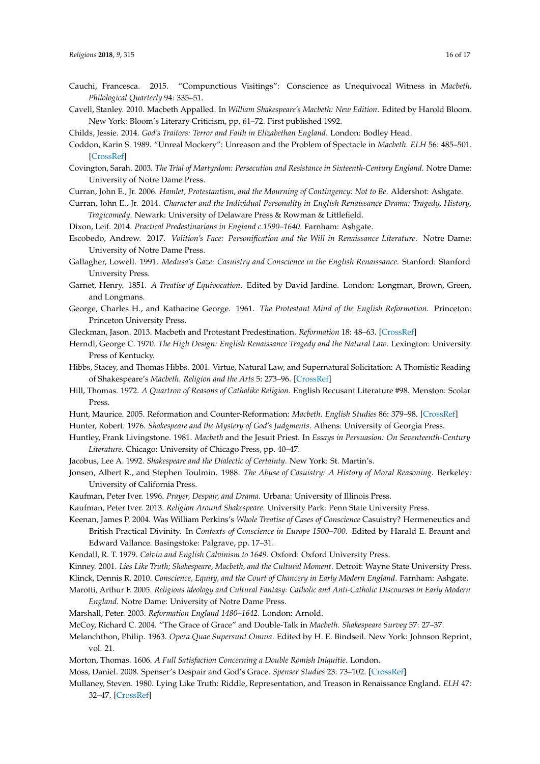- <span id="page-16-8"></span>Cauchi, Francesca. 2015. "Compunctious Visitings": Conscience as Unequivocal Witness in *Macbeth*. *Philological Quarterly* 94: 335–51.
- <span id="page-16-30"></span>Cavell, Stanley. 2010. Macbeth Appalled. In *William Shakespeare's Macbeth: New Edition*. Edited by Harold Bloom. New York: Bloom's Literary Criticism, pp. 61–72. First published 1992.

<span id="page-16-25"></span>Childs, Jessie. 2014. *God's Traitors: Terror and Faith in Elizabethan England*. London: Bodley Head.

<span id="page-16-28"></span>Coddon, Karin S. 1989. "Unreal Mockery": Unreason and the Problem of Spectacle in *Macbeth*. *ELH* 56: 485–501. [\[CrossRef\]](http://dx.doi.org/10.2307/2873194)

- <span id="page-16-22"></span>Covington, Sarah. 2003. *The Trial of Martyrdom: Persecution and Resistance in Sixteenth-Century England*. Notre Dame: University of Notre Dame Press.
- <span id="page-16-1"></span>Curran, John E., Jr. 2006. *Hamlet, Protestantism, and the Mourning of Contingency: Not to Be*. Aldershot: Ashgate.

<span id="page-16-2"></span>Curran, John E., Jr. 2014. *Character and the Individual Personality in English Renaissance Drama: Tragedy, History, Tragicomedy*. Newark: University of Delaware Press & Rowman & Littlefield.

- <span id="page-16-5"></span>Dixon, Leif. 2014. *Practical Predestinarians in England c.1590–1640*. Farnham: Ashgate.
- <span id="page-16-16"></span>Escobedo, Andrew. 2017. *Volition's Face: Personification and the Will in Renaissance Literature*. Notre Dame: University of Notre Dame Press.
- <span id="page-16-20"></span>Gallagher, Lowell. 1991. *Medusa's Gaze: Casuistry and Conscience in the English Renaissance*. Stanford: Stanford University Press.
- <span id="page-16-21"></span>Garnet, Henry. 1851. *A Treatise of Equivocation*. Edited by David Jardine. London: Longman, Brown, Green, and Longmans.
- <span id="page-16-10"></span>George, Charles H., and Katharine George. 1961. *The Protestant Mind of the English Reformation*. Princeton: Princeton University Press.

<span id="page-16-9"></span><span id="page-16-6"></span>Gleckman, Jason. 2013. Macbeth and Protestant Predestination. *Reformation* 18: 48–63. [\[CrossRef\]](http://dx.doi.org/10.1179/1357417513Z.0000000006)

- Herndl, George C. 1970. *The High Design: English Renaissance Tragedy and the Natural Law*. Lexington: University Press of Kentucky.
- <span id="page-16-7"></span>Hibbs, Stacey, and Thomas Hibbs. 2001. Virtue, Natural Law, and Supernatural Solicitation: A Thomistic Reading of Shakespeare's *Macbeth*. *Religion and the Arts* 5: 273–96. [\[CrossRef\]](http://dx.doi.org/10.1163/15685290152813662)
- <span id="page-16-18"></span>Hill, Thomas. 1972. *A Quartron of Reasons of Catholike Religion*. English Recusant Literature #98. Menston: Scolar Press.
- <span id="page-16-32"></span><span id="page-16-0"></span>Hunt, Maurice. 2005. Reformation and Counter-Reformation: *Macbeth*. *English Studies* 86: 379–98. [\[CrossRef\]](http://dx.doi.org/10.1080/00138380500164026)

<span id="page-16-24"></span>Hunter, Robert. 1976. *Shakespeare and the Mystery of God's Judgments*. Athens: University of Georgia Press.

- Huntley, Frank Livingstone. 1981. *Macbeth* and the Jesuit Priest. In *Essays in Persuasion: On Seventeenth-Century Literature*. Chicago: University of Chicago Press, pp. 40–47.
- <span id="page-16-29"></span>Jacobus, Lee A. 1992. *Shakespeare and the Dialectic of Certainty*. New York: St. Martin's.
- <span id="page-16-19"></span>Jonsen, Albert R., and Stephen Toulmin. 1988. *The Abuse of Casuistry: A History of Moral Reasoning*. Berkeley: University of California Press.

<span id="page-16-4"></span>Kaufman, Peter Iver. 1996. *Prayer, Despair, and Drama*. Urbana: University of Illinois Press.

- <span id="page-16-3"></span>Kaufman, Peter Iver. 2013. *Religion Around Shakespeare*. University Park: Penn State University Press.
- <span id="page-16-14"></span>Keenan, James P. 2004. Was William Perkins's *Whole Treatise of Cases of Conscience* Casuistry? Hermeneutics and British Practical Divinity. In *Contexts of Conscience in Europe 1500–700*. Edited by Harald E. Braunt and Edward Vallance. Basingstoke: Palgrave, pp. 17–31.
- <span id="page-16-26"></span><span id="page-16-11"></span>Kendall, R. T. 1979. *Calvin and English Calvinism to 1649*. Oxford: Oxford University Press.
- <span id="page-16-13"></span>Kinney. 2001. *Lies Like Truth; Shakespeare, Macbeth, and the Cultural Moment*. Detroit: Wayne State University Press. Klinck, Dennis R. 2010. *Conscience, Equity, and the Court of Chancery in Early Modern England*. Farnham: Ashgate.
- <span id="page-16-23"></span>Marotti, Arthur F. 2005. *Religious Ideology and Cultural Fantasy: Catholic and Anti-Catholic Discourses in Early Modern England*. Notre Dame: University of Notre Dame Press.
- <span id="page-16-12"></span>Marshall, Peter. 2003. *Reformation England 1480–1642*. London: Arnold.

<span id="page-16-31"></span>McCoy, Richard C. 2004. "The Grace of Grace" and Double-Talk in *Macbeth*. *Shakespeare Survey* 57: 27–37.

- <span id="page-16-15"></span>Melanchthon, Philip. 1963. *Opera Quae Supersunt Omnia*. Edited by H. E. Bindseil. New York: Johnson Reprint, vol. 21.
- <span id="page-16-33"></span>Morton, Thomas. 1606. *A Full Satisfaction Concerning a Double Romish Iniquitie*. London.
- <span id="page-16-17"></span>Moss, Daniel. 2008. Spenser's Despair and God's Grace. *Spenser Studies* 23: 73–102. [\[CrossRef\]](http://dx.doi.org/10.1086/SPSv23p73)
- <span id="page-16-27"></span>Mullaney, Steven. 1980. Lying Like Truth: Riddle, Representation, and Treason in Renaissance England. *ELH* 47: 32–47. [\[CrossRef\]](http://dx.doi.org/10.2307/2872437)